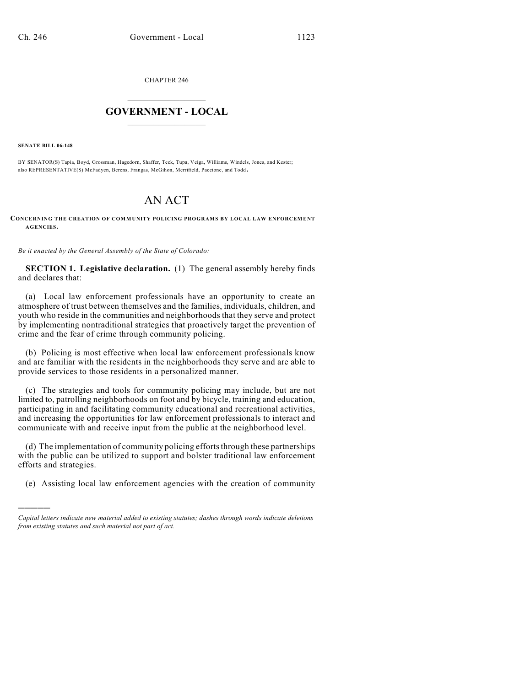CHAPTER 246

## $\overline{\phantom{a}}$  . The set of the set of the set of the set of the set of the set of the set of the set of the set of the set of the set of the set of the set of the set of the set of the set of the set of the set of the set o **GOVERNMENT - LOCAL**  $\_$

**SENATE BILL 06-148**

)))))

BY SENATOR(S) Tapia, Boyd, Grossman, Hagedorn, Shaffer, Teck, Tupa, Veiga, Williams, Windels, Jones, and Kester; also REPRESENTATIVE(S) McFadyen, Berens, Frangas, McGihon, Merrifield, Paccione, and Todd.

## AN ACT

**CONCERNING THE CREATION OF COMMUNITY POLICING PROGRAMS BY LOCAL LAW ENFORCEMENT AGENCIES.**

*Be it enacted by the General Assembly of the State of Colorado:*

**SECTION 1. Legislative declaration.** (1) The general assembly hereby finds and declares that:

(a) Local law enforcement professionals have an opportunity to create an atmosphere of trust between themselves and the families, individuals, children, and youth who reside in the communities and neighborhoods that they serve and protect by implementing nontraditional strategies that proactively target the prevention of crime and the fear of crime through community policing.

(b) Policing is most effective when local law enforcement professionals know and are familiar with the residents in the neighborhoods they serve and are able to provide services to those residents in a personalized manner.

(c) The strategies and tools for community policing may include, but are not limited to, patrolling neighborhoods on foot and by bicycle, training and education, participating in and facilitating community educational and recreational activities, and increasing the opportunities for law enforcement professionals to interact and communicate with and receive input from the public at the neighborhood level.

(d) The implementation of community policing efforts through these partnerships with the public can be utilized to support and bolster traditional law enforcement efforts and strategies.

(e) Assisting local law enforcement agencies with the creation of community

*Capital letters indicate new material added to existing statutes; dashes through words indicate deletions from existing statutes and such material not part of act.*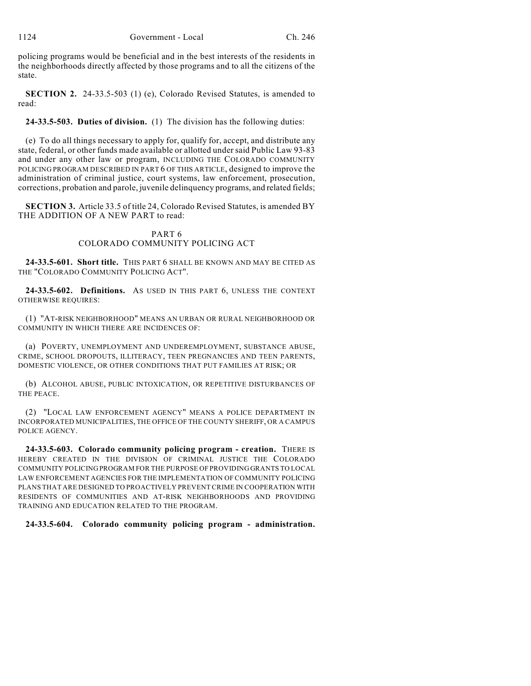policing programs would be beneficial and in the best interests of the residents in the neighborhoods directly affected by those programs and to all the citizens of the state.

**SECTION 2.** 24-33.5-503 (1) (e), Colorado Revised Statutes, is amended to read:

**24-33.5-503. Duties of division.** (1) The division has the following duties:

(e) To do all things necessary to apply for, qualify for, accept, and distribute any state, federal, or other funds made available or allotted under said Public Law 93-83 and under any other law or program, INCLUDING THE COLORADO COMMUNITY POLICING PROGRAM DESCRIBED IN PART 6 OF THIS ARTICLE, designed to improve the administration of criminal justice, court systems, law enforcement, prosecution, corrections, probation and parole, juvenile delinquency programs, and related fields;

**SECTION 3.** Article 33.5 of title 24, Colorado Revised Statutes, is amended BY THE ADDITION OF A NEW PART to read:

## PART 6 COLORADO COMMUNITY POLICING ACT

**24-33.5-601. Short title.** THIS PART 6 SHALL BE KNOWN AND MAY BE CITED AS THE "COLORADO COMMUNITY POLICING ACT".

**24-33.5-602. Definitions.** AS USED IN THIS PART 6, UNLESS THE CONTEXT OTHERWISE REQUIRES:

(1) "AT-RISK NEIGHBORHOOD" MEANS AN URBAN OR RURAL NEIGHBORHOOD OR COMMUNITY IN WHICH THERE ARE INCIDENCES OF:

(a) POVERTY, UNEMPLOYMENT AND UNDEREMPLOYMENT, SUBSTANCE ABUSE, CRIME, SCHOOL DROPOUTS, ILLITERACY, TEEN PREGNANCIES AND TEEN PARENTS, DOMESTIC VIOLENCE, OR OTHER CONDITIONS THAT PUT FAMILIES AT RISK; OR

(b) ALCOHOL ABUSE, PUBLIC INTOXICATION, OR REPETITIVE DISTURBANCES OF THE PEACE.

(2) "LOCAL LAW ENFORCEMENT AGENCY" MEANS A POLICE DEPARTMENT IN INCORPORATED MUNICIPALITIES, THE OFFICE OF THE COUNTY SHERIFF, OR A CAMPUS POLICE AGENCY.

**24-33.5-603. Colorado community policing program - creation.** THERE IS HEREBY CREATED IN THE DIVISION OF CRIMINAL JUSTICE THE COLORADO COMMUNITY POLICING PROGRAM FOR THE PURPOSE OF PROVIDING GRANTS TO LOCAL LAW ENFORCEMENT AGENCIES FOR THE IMPLEMENTATION OF COMMUNITY POLICING PLANS THAT ARE DESIGNED TO PROACTIVELY PREVENT CRIME IN COOPERATION WITH RESIDENTS OF COMMUNITIES AND AT-RISK NEIGHBORHOODS AND PROVIDING TRAINING AND EDUCATION RELATED TO THE PROGRAM.

## **24-33.5-604. Colorado community policing program - administration.**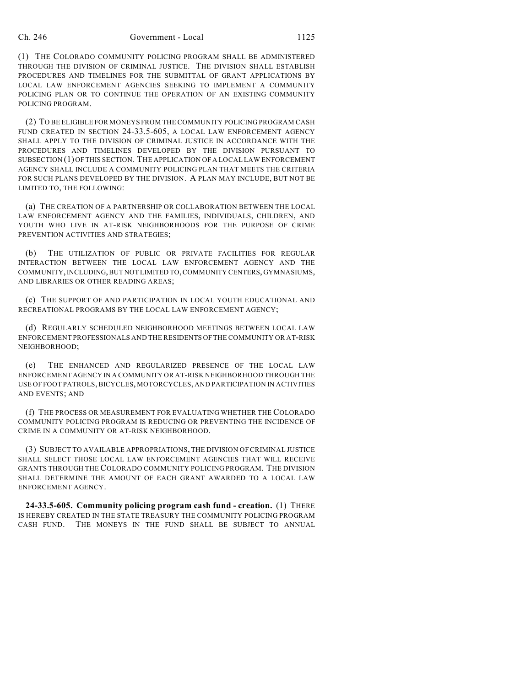(1) THE COLORADO COMMUNITY POLICING PROGRAM SHALL BE ADMINISTERED THROUGH THE DIVISION OF CRIMINAL JUSTICE. THE DIVISION SHALL ESTABLISH PROCEDURES AND TIMELINES FOR THE SUBMITTAL OF GRANT APPLICATIONS BY LOCAL LAW ENFORCEMENT AGENCIES SEEKING TO IMPLEMENT A COMMUNITY POLICING PLAN OR TO CONTINUE THE OPERATION OF AN EXISTING COMMUNITY POLICING PROGRAM.

(2) TO BE ELIGIBLE FOR MONEYS FROM THE COMMUNITY POLICING PROGRAM CASH FUND CREATED IN SECTION 24-33.5-605, A LOCAL LAW ENFORCEMENT AGENCY SHALL APPLY TO THE DIVISION OF CRIMINAL JUSTICE IN ACCORDANCE WITH THE PROCEDURES AND TIMELINES DEVELOPED BY THE DIVISION PURSUANT TO SUBSECTION (1) OF THIS SECTION. THE APPLICATION OF A LOCAL LAW ENFORCEMENT AGENCY SHALL INCLUDE A COMMUNITY POLICING PLAN THAT MEETS THE CRITERIA FOR SUCH PLANS DEVELOPED BY THE DIVISION. A PLAN MAY INCLUDE, BUT NOT BE LIMITED TO, THE FOLLOWING:

(a) THE CREATION OF A PARTNERSHIP OR COLLABORATION BETWEEN THE LOCAL LAW ENFORCEMENT AGENCY AND THE FAMILIES, INDIVIDUALS, CHILDREN, AND YOUTH WHO LIVE IN AT-RISK NEIGHBORHOODS FOR THE PURPOSE OF CRIME PREVENTION ACTIVITIES AND STRATEGIES;

(b) THE UTILIZATION OF PUBLIC OR PRIVATE FACILITIES FOR REGULAR INTERACTION BETWEEN THE LOCAL LAW ENFORCEMENT AGENCY AND THE COMMUNITY, INCLUDING, BUT NOT LIMITED TO, COMMUNITY CENTERS, GYMNASIUMS, AND LIBRARIES OR OTHER READING AREAS;

(c) THE SUPPORT OF AND PARTICIPATION IN LOCAL YOUTH EDUCATIONAL AND RECREATIONAL PROGRAMS BY THE LOCAL LAW ENFORCEMENT AGENCY;

(d) REGULARLY SCHEDULED NEIGHBORHOOD MEETINGS BETWEEN LOCAL LAW ENFORCEMENT PROFESSIONALS AND THE RESIDENTS OF THE COMMUNITY OR AT-RISK NEIGHBORHOOD;

(e) THE ENHANCED AND REGULARIZED PRESENCE OF THE LOCAL LAW ENFORCEMENT AGENCY IN A COMMUNITY OR AT-RISK NEIGHBORHOOD THROUGH THE USE OF FOOT PATROLS, BICYCLES, MOTORCYCLES, AND PARTICIPATION IN ACTIVITIES AND EVENTS; AND

(f) THE PROCESS OR MEASUREMENT FOR EVALUATING WHETHER THE COLORADO COMMUNITY POLICING PROGRAM IS REDUCING OR PREVENTING THE INCIDENCE OF CRIME IN A COMMUNITY OR AT-RISK NEIGHBORHOOD.

(3) SUBJECT TO AVAILABLE APPROPRIATIONS, THE DIVISION OF CRIMINAL JUSTICE SHALL SELECT THOSE LOCAL LAW ENFORCEMENT AGENCIES THAT WILL RECEIVE GRANTS THROUGH THE COLORADO COMMUNITY POLICING PROGRAM. THE DIVISION SHALL DETERMINE THE AMOUNT OF EACH GRANT AWARDED TO A LOCAL LAW ENFORCEMENT AGENCY.

**24-33.5-605. Community policing program cash fund - creation.** (1) THERE IS HEREBY CREATED IN THE STATE TREASURY THE COMMUNITY POLICING PROGRAM CASH FUND. THE MONEYS IN THE FUND SHALL BE SUBJECT TO ANNUAL